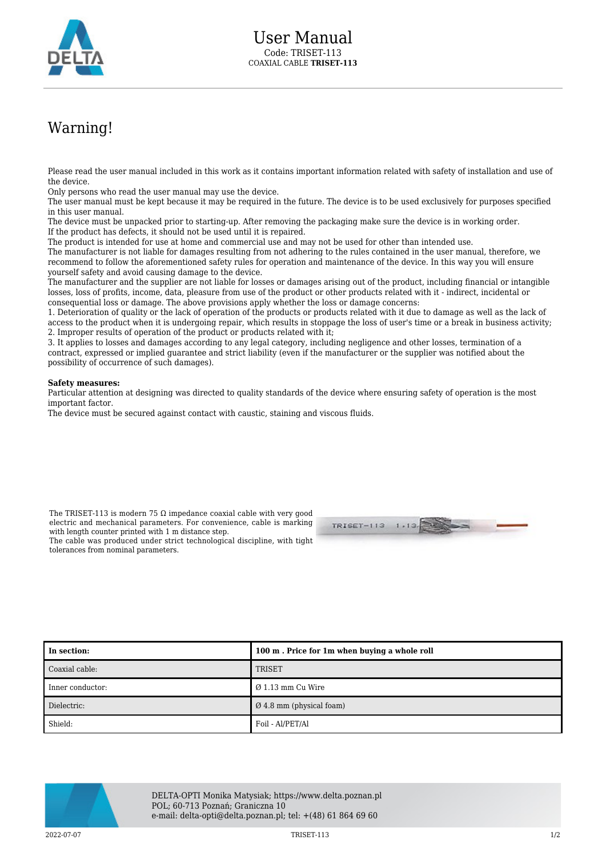

## Warning!

Please read the user manual included in this work as it contains important information related with safety of installation and use of the device.

Only persons who read the user manual may use the device.

The user manual must be kept because it may be required in the future. The device is to be used exclusively for purposes specified in this user manual.

The device must be unpacked prior to starting-up. After removing the packaging make sure the device is in working order. If the product has defects, it should not be used until it is repaired.

The product is intended for use at home and commercial use and may not be used for other than intended use.

The manufacturer is not liable for damages resulting from not adhering to the rules contained in the user manual, therefore, we recommend to follow the aforementioned safety rules for operation and maintenance of the device. In this way you will ensure yourself safety and avoid causing damage to the device.

The manufacturer and the supplier are not liable for losses or damages arising out of the product, including financial or intangible losses, loss of profits, income, data, pleasure from use of the product or other products related with it - indirect, incidental or consequential loss or damage. The above provisions apply whether the loss or damage concerns:

1. Deterioration of quality or the lack of operation of the products or products related with it due to damage as well as the lack of access to the product when it is undergoing repair, which results in stoppage the loss of user's time or a break in business activity; 2. Improper results of operation of the product or products related with it;

3. It applies to losses and damages according to any legal category, including negligence and other losses, termination of a contract, expressed or implied guarantee and strict liability (even if the manufacturer or the supplier was notified about the possibility of occurrence of such damages).

## **Safety measures:**

Particular attention at designing was directed to quality standards of the device where ensuring safety of operation is the most important factor.

The device must be secured against contact with caustic, staining and viscous fluids.

The TRISET-113 is modern 75  $\Omega$  impedance coaxial cable with very good electric and mechanical parameters. For convenience, cable is marking with length counter printed with 1 m distance step.

TRISET-113  $1 - 12$ 

The cable was produced under strict technological discipline, with tight tolerances from nominal parameters.

| In section:      | 100 m. Price for 1m when buying a whole roll |
|------------------|----------------------------------------------|
| Coaxial cable:   | <b>TRISET</b>                                |
| Inner conductor: | $\varnothing$ 1.13 mm Cu Wire                |
| Dielectric:      | $\varnothing$ 4.8 mm (physical foam)         |
| Shield:          | Foil - Al/PET/Al                             |



DELTA-OPTI Monika Matysiak; https://www.delta.poznan.pl POL; 60-713 Poznań; Graniczna 10 e-mail: delta-opti@delta.poznan.pl; tel: +(48) 61 864 69 60